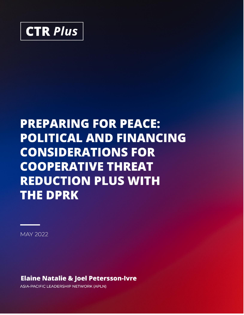

# **PREPARING FOR PEACE: POLITICAL AND FINANCING CONSIDERATIONS FOR COOPERATIVE THREAT REDUCTION PLUS WITH THE DPRK**

**MAY 2022** 

**Elaine Natalie & Joel Petersson-Ivre** 

**ASIA-PACIFIC LEADERSHIP NETWORK (APLN)**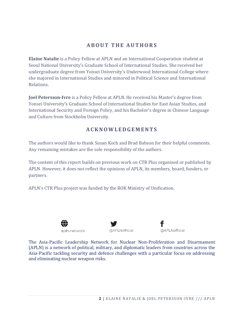#### **A B O U T T H E A U T H O RS**

**Elaine Natalie** is a Policy Fellow at APLN and an International Cooperation student at Seoul National University's Graduate School of International Studies. She received her undergraduate degree from Yonsei University's Underwood International College where she majored in International Studies and minored in Political Science and International Relations.

**Joel Petersson-Ivre** is a Policy Fellow at APLN. He received his Master's degree from Yonsei University's Graduate School of International Studies for East Asian Studies, and International Security and Foreign Policy, and his Bachelor's degree in Chinese Language and Culture from Stockholm University.

#### **AC K N O W L E D G E M E N T S**

The authors would like to thank Susan Koch and Brad Babson for their helpful comments. Any remaining mistakes are the sole responsibility of the authors.

The content of this report builds on previous work on CTR Plus organised or published by APLN. However, it does not reflect the opinions of APLN, its members, board, funders, or partners.

APLN's CTR Plus project was funded by the ROK Ministry of Unification.



@APLNofficial

@APLNofficial

The Asia-Pacific Leadership Network for Nuclear Non-Proliferation and Disarmament (APLN) is a network of political, military, and diplomatic leaders from countries across the Asia-Pacific tackling security and defence challenges with a particular focus on addressing and eliminating nuclear weapon risks.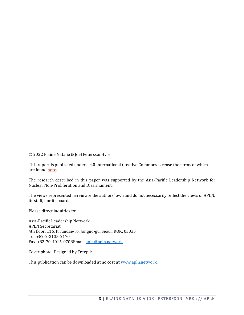© 2022 Elaine Natalie & Joel Petersson-Ivre.

This report is published under a 4.0 International Creative Commons License the terms of which are found [here.](https://creativecommons.org/licenses/by-nc-sa/4.0/)

The research described in this paper was supported by the Asia-Pacific Leadership Network for Nuclear Non-Proliferation and Disarmament.

The views represented herein are the authors' own and do not necessarily reflect the views of APLN, its staff, nor its board.

Please direct inquiries to:

Asia-Pacific Leadership Network APLN Secretariat 4th floor, 116, Pirundae-ro, Jongno-gu, Seoul, ROK, 03035 Tel. +82-2-2135-2170 Fax. +82-70-4015-0708Email. [apln@apln.network](mailto:apln@apln.network)

Cover photo: Designed by Freepik

This publication can be downloaded at no cost at [www.apln.network.](http://www.apln.network/)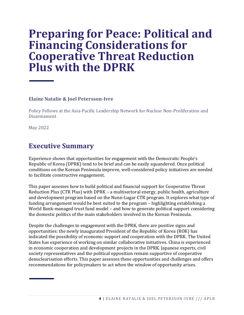## **Preparing for Peace: Political and Financing Considerations for Cooperative Threat Reduction Plus with the DPRK**

#### **Elaine Natalie & Joel Petersson-Ivre**

Policy Fellows at the Asia-Pacific Leadership Network for Nuclear Non-Proliferation and Disarmament

May 2022

### **Executive Summary**

Experience shows that opportunities for engagement with the Democratic People's Republic of Korea (DPRK) tend to be brief and can be easily squandered. Once political conditions on the Korean Peninsula improve, well-considered policy initiatives are needed to facilitate constructive engagement.

This paper assesses how to build political and financial support for Cooperative Threat Reduction Plus (CTR Plus) with DPRK – a multisectoral energy, public health, agriculture and development program based on the Nunn-Lugar CTR program. It explores what type of funding arrangement would be best suited to the program – highlighting establishing a World Bank-managed trust fund model – and how to generate political support considering the domestic politics of the main stakeholders involved in the Korean Peninsula.

Despite the challenges to engagement with the DPRK, there are positive signs and opportunities: the newly inaugurated President of the Republic of Korea (ROK) has indicated the possibility of economic support and cooperation with the DPRK. The United States has experience of working on similar collaborative initiatives. China is experienced in economic cooperation and development projects in the DPRK. Japanese experts, civil society representatives and the political opposition remain supportive of cooperative denuclearisation efforts. This paper assesses these opportunities and challenges and offers recommendations for policymakers to act when the window of opportunity arises.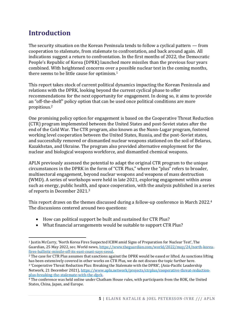## **Introduction**

The security situation on the Korean Peninsula tends to follow a cyclical pattern — from cooperation to stalemate, from stalemate to confrontation, and back around again. All indications suggest a return to confrontation. In the first months of 2022, the Democratic People's Republic of Korea (DPRK) launched more missiles than the previous four years combined. With heightened concerns over a possible nuclear test in the coming months, there seems to be little cause for optimism.<sup>1</sup>

This report takes stock of current political dynamics impacting the Korean Peninsula and relations with the DPRK, looking beyond the current cyclical phase to offer recommendations for the next opportunity for engagement. In doing so, it aims to provide an "off-the-shelf" policy option that can be used once political conditions are more propitious. 2

One promising policy option for engagement is based on the Cooperative Threat Reduction (CTR) program implemented between the United States and post-Soviet states after the end of the Cold War. The CTR program, also known as the Nunn-Lugar program, fostered working level cooperation between the United States, Russia, and the post-Soviet states, and successfully removed or dismantled nuclear weapons stationed on the soil of Belarus, Kazakhstan, and Ukraine. The program also provided alternative employment for the nuclear and biological weapons workforce, and dismantled chemical weapons.

APLN previously assessed the potential to adapt the original CTR program to the unique circumstances in the DPRK in the form of "CTR Plus," where the "plus" refers to broader, multisectoral engagement, beyond nuclear weapons and weapons of mass destruction (WMD). A series of workshops were held in late 2021, exploring engagement within areas such as energy, public health, and space cooperation, with the analysis published in a series of reports in December 2021.<sup>3</sup>

This report draws on the themes discussed during a follow-up conference in March 2022.<sup>4</sup> The discussions centered around two questions:

- How can political support be built and sustained for CTR Plus?
- What financial arrangements would be suitable to support CTR Plus?

<sup>1</sup> Justin McCurry, 'North Korea Fires Suspected ICBM amid Signs of Preparation for Nuclear Test', The Guardian, 25 May 2022, sec. World news[, https://www.theguardian.com/world/2022/may/24/north-korea](https://www.theguardian.com/world/2022/may/24/north-korea-fires-ballistic-missile-off-its-east-coast-says-seoul)[fires-ballistic-missile-off-its-east-coast-says-seoul.](https://www.theguardian.com/world/2022/may/24/north-korea-fires-ballistic-missile-off-its-east-coast-says-seoul)

<sup>2</sup> The case for CTR Plus assumes that sanctions against the DPRK would be eased or lifted. As sanctions lifting has been extensively covered in other works on CTR Plus, we do not discuss the topic further here.

<sup>3</sup> 'Cooperative Threat Reduction Plus: Breaking the Stalemate with the DPRK', (Asia-Pacific Leadership Network, 21 December 2021), [https://www.apln.network/projects/ctrplus/cooperative-threat-reduction](https://www.apln.network/projects/ctrplus/cooperative-threat-reduction-plus-breaking-the-stalemate-with-the-dprk)[plus-breaking-the-stalemate-with-the-dprk.](https://www.apln.network/projects/ctrplus/cooperative-threat-reduction-plus-breaking-the-stalemate-with-the-dprk)

<sup>4</sup> The conference was held online under Chatham House rules, with participants from the ROK, the United States, China, Japan, and Europe.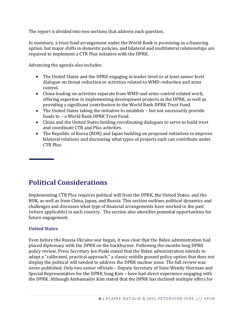The report is divided into two sections that address each question.

In summary, a trust fund arrangement under the World Bank is promising as a financing option, but major shifts in domestic policies, and bilateral and multilateral relationships are required to implement a CTR Plus initiative with the DPRK.

Advancing the agenda also includes:

- The United States and the DPRK engaging in leader-level or at least senior-level dialogue on threat reduction or activities related to WMD-reduction and arms control.
- China leading on activities separate from WMD and arms-control related work, offering expertise in implementing development projects in the DPRK, as well as providing a significant contribution to the World Bank DPRK Trust Fund.
- The United States taking the initiative to establish but not necessarily provide funds to – a World Bank DPRK Trust Fund.
- China and the United States holding coordinating dialogues to serve to build trust and coordinate CTR and Plus activities.
- The Republic of Korea (ROK) and Japan building on proposed initiatives to improve bilateral relations and discussing what types of projects each can contribute under CTR Plus.

## **Political Considerations**

Implementing CTR Plus requires political will from the DPRK, the United States, and the ROK, as well as from China, Japan, and Russia. This section outlines political dynamics and challenges and discusses what type of financial arrangements have worked in the past (where applicable) in each country. The section also identifies potential opportunities for future engagement.

#### **United States**

Even before the Russia-Ukraine war began, it was clear that the Biden administration had placed diplomacy with the DPRK on the backburner. Following the months long DPRK policy review, Press Secretary Jen Psaki stated that the Biden administration intends to adopt a "calibrated, practical approach," a classic middle ground policy option that does not display the political will needed to address the DPRK nuclear issue. The full review was never published. Only two senior officials – Deputy Secretary of State Wendy Sherman and Special Representative for the DPRK Sung Kim – have had direct experience engaging with the DPRK. Although Ambassador Kim stated that the DPRK has declined multiple offers for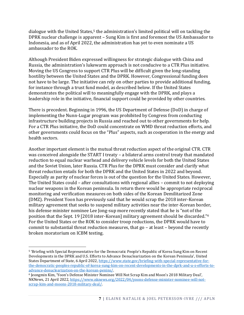dialogue with the United States,<sup>5</sup> the administration's limited political will on tackling the DPRK nuclear challenge is apparent – Sung Kim is first and foremost the US Ambassador to Indonesia, and as of April 2022, the administration has yet to even nominate a US ambassador to the ROK.

Although President Biden expressed willingness for strategic dialogue with China and Russia, the administration's lukewarm approach is not conducive to a CTR Plus initiative. Moving the US Congress to support CTR Plus will be difficult given the long-standing hostility between the United States and the DPRK. However, Congressional funding does not have to be large. The initiative can rely on other parties to provide additional funding, for instance through a trust fund model, as described below. If the United States demonstrates the political will to meaningfully engage with the DPRK, and plays a leadership role in the initiative, financial support could be provided by other countries.

There is precedent. Beginning in 1996, the US Department of Defense (DoD) in charge of implementing the Nunn-Lugar program was prohibited by Congress from conducting infrastructure building projects in Russia and reached out to other governments for help. For a CTR Plus initiative, the DoD could concentrate on WMD threat reduction efforts, and other governments could focus on the "Plus" aspects, such as cooperation in the energy and health sectors.

Another important element is the mutual threat reduction aspect of the original CTR. CTR was conceived alongside the START I treaty – a bilateral arms control treaty that mandated reduction to equal nuclear warhead and delivery vehicle levels for both the United States and the Soviet Union, later Russia. CTR Plus for the DPRK must consider and clarify what threat reduction entails for both the DPRK and the United States in 2022 and beyond. Especially as parity of nuclear forces is out of the question for the United States. However, The United States could – after consultations with regional allies – commit to not deploying nuclear weapons in the Korean peninsula. In return there would be appropriate reciprocal monitoring and verification measures on both sides of the Korean Demilitarized Zone (DMZ). President Yoon has previously said that he would scrap the 2018 inter-Korean military agreement that seeks to suspend military activities near the inter-Korean border, his defense minister nominee Lee Jong-sup more recently stated that he is "not of the position that the Sept. 19 [2018 inter-Korean] military agreement should be discarded."<sup>6</sup> For the United States or the ROK to consider troop reductions, the DPRK would have to commit to substantial threat reduction measures, that go – at least – beyond the recently broken moratorium on ICBM testing.

<sup>5</sup> 'Briefing with Special Representative for the Democratic People's Republic of Korea Sung Kim on Recent Developments in the DPRK and U.S. Efforts to Advance Denuclearization on the Korean Peninsula', United States Department of State, 6 April 2022, [https://www.state.gov/briefing-with-special-representative-for](https://www.state.gov/briefing-with-special-representative-for-the-democratic-peoples-republic-of-korea-sung-kim-on-recent-developments-in-the-dprk-and-u-s-efforts-to-advance-denuclearization-on-the-korean-penins/)[the-democratic-peoples-republic-of-korea-sung-kim-on-recent-developments-in-the-dprk-and-u-s-efforts-to](https://www.state.gov/briefing-with-special-representative-for-the-democratic-peoples-republic-of-korea-sung-kim-on-recent-developments-in-the-dprk-and-u-s-efforts-to-advance-denuclearization-on-the-korean-penins/)[advance-denuclearization-on-the-korean-penins/.](https://www.state.gov/briefing-with-special-representative-for-the-democratic-peoples-republic-of-korea-sung-kim-on-recent-developments-in-the-dprk-and-u-s-efforts-to-advance-denuclearization-on-the-korean-penins/)

<sup>6</sup> Jeongmin Kim, 'Yoon's Defense Minister Nominee Will Not Scrap Kim and Moon's 2018 Military Deal', NKNews, 21 April 2022[, https://www.nknews.org/2022/04/yoons-defense-minister-nominee-will-not](https://www.nknews.org/2022/04/yoons-defense-minister-nominee-will-not-scrap-kim-and-moons-2018-military-deal/)[scrap-kim-and-moons-2018-military-deal/.](https://www.nknews.org/2022/04/yoons-defense-minister-nominee-will-not-scrap-kim-and-moons-2018-military-deal/)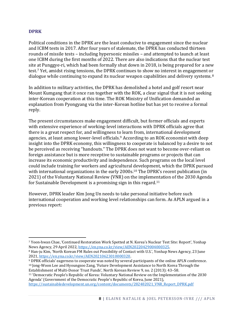#### **DPRK**

Political conditions in the DPRK are the least conducive to engagement since the nuclear and ICBM tests in 2017. After four years of stalemate, the DPRK has conducted thirteen rounds of missile tests – including hypersonic missiles – and attempted to launch at least one ICBM during the first months of 2022. There are also indications that the nuclear test site at Punggye-ri, which had been formally shut down in 2018, is being prepared for a new test.<sup>7</sup> Yet, amidst rising tensions, the DPRK continues to show no interest in engagement or dialogue while continuing to expand its nuclear weapon capabilities and delivery systems.<sup>8</sup>

In addition to military activities, the DPRK has demolished a hotel and golf resort near Mount Kumgang that it once ran together with the ROK, a clear signal that it is not seeking inter-Korean cooperation at this time. The ROK Ministry of Unification demanded an explanation from Pyongyang via the inter-Korean hotline but has yet to receive a formal reply.

The present circumstances make engagement difficult, but former officials and experts with extensive experience of working-level interactions with DPRK officials agree that there is a great respect for, and willingness to learn from, international development agencies, at least among lower-level officials.<sup>9</sup> According to an ROK economist with deep insight into the DPRK economy, this willingness to cooperate is balanced by a desire to not be perceived as receiving "handouts." The DPRK does not want to become over-reliant on foreign assistance but is more receptive to sustainable programs or projects that can increase its economic productivity and independence. Such programs on the local level could include training for workers and agricultural development, which the DPRK pursued with international organizations in the early 2000s.<sup>10</sup> The DPRK's recent publication (in 2021) of the Voluntary National Review (VNR) on the implementation of the 2030 Agenda for Sustainable Development is a promising sign in this regard.<sup>11</sup>

However, DPRK leader Kim Jong Un needs to take personal initiative before such international cooperation and working level relationships can form. As APLN argued in a previous report:

<sup>11</sup> 'Democratic People's Republic of Korea: Voluntary National Review on the Implementation of the 2030 Agenda' (Government of the Democratic People's Republic of Korea, June 2021), [https://sustainabledevelopment.un.org/content/documents/282482021\\_VNR\\_Report\\_DPRK.pdf](https://sustainabledevelopment.un.org/content/documents/282482021_VNR_Report_DPRK.pdf)

<sup>7</sup> Yoon-hwan Chae, 'Continued Restoration Work Spotted at N. Korea's Nuclear Test Site: Report', Yonhap News Agency, 29 April 2022[, https://en.yna.co.kr/view/AEN20220429004000325.](https://en.yna.co.kr/view/AEN20220429004000325)

<sup>8</sup> Han-ju Kim, 'North Korean FM Rules out Possibility of Contact with U.S.', Yonhap News Agency, 23 June 2021[, https://en.yna.co.kr/view/AEN20210623010000320.](https://en.yna.co.kr/view/AEN20210623010000320)

<sup>9</sup> DPRK officials' eagerness to cooperate was noted by several participants of the online APLN conference. <sup>10</sup> Jong-Woon Lee and Hyoungsoo Zang, 'Future Development Assistance to North Korea Through the Establishment of Multi-Donor Trust Funds', North Korean Review 9, no. 2 (2013): 43–58.

**<sup>8</sup>** | ELAINE NATALIE & JOEL PETERSSON-IVRE /// APLN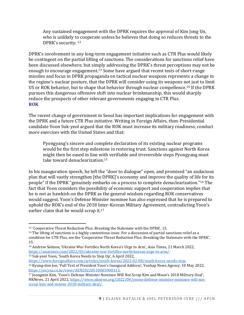Any sustained engagement with the DPRK requires the approval of Kim Jong Un, who is unlikely to cooperate unless he believes that doing so reduces threats to the DPRK's security. <sup>12</sup>

DPRK's involvement in any long-term engagement initiative such as CTR Plus would likely be contingent on the partial lifting of sanctions. The considerations for sanctions relief have been discussed elsewhere, but simply addressing the DPRK's threat perceptions may not be enough to encourage engagement.<sup>13</sup> Some have argued that recent tests of short-range missiles and focus in DPRK propaganda on tactical nuclear weapons represents a change in the regime's nuclear posture, that the DPRK will consider using its weapons not just to limit US or ROK behavior, but to shape that behavior through nuclear compellence.<sup>14</sup> If the DPRK pursues this dangerous offensive shift into nuclear brinkmanship, this would sharply reduce the prospects of other relevant governments engaging in CTR Plus. **ROK**

The recent change of government in Seoul has important implications for engagement with the DPRK and a future CTR Plus initiative. Writing in Foreign Affairs, then-Presidential candidate Yoon Suk-yeol argued that the ROK must increase its military readiness, conduct more exercises with the United States and that:

Pyongyang's sincere and complete declaration of its existing nuclear programs would be the first step milestone in restoring trust. Sanctions against North Korea might then be eased in line with verifiable and irreversible steps Pyongyang must take toward denuclearization.<sup>15</sup>

In his inauguration speech, he left the "door to dialogue" open, and promised "an audacious plan that will vastly strengthen [the DPRK]'s economy and improve the quality of life for its people" if the DPRK "genuinely embarks on a process to complete denuclearization."<sup>16</sup> The fact that Yoon considers the possibility of economic support and cooperation implies that he is not as hawkish on the DPRK as the general wisdom regarding ROK conservatives would suggest. Yoon's Defense Minister nominee has also expressed that he is prepared to uphold the ROK's end of the 2018 Inter-Korean Military Agreement, contradicting Yoon's earlier claim that he would scrap it.<sup>17</sup>

<sup>15</sup> Suk-yeol Yoon, 'South Korea Needs to Step Up', 6 April 2022, [https://www.foreignaffairs.com/articles/south-korea/2022-02-08/south-korea-needs-step.](https://www.foreignaffairs.com/articles/south-korea/2022-02-08/south-korea-needs-step)

<sup>&</sup>lt;sup>12</sup> 'Cooperative Threat Reduction Plus: Breaking the Stalemate with the DPRK', 15.

<sup>&</sup>lt;sup>13</sup> The lifting of sanctions is a highly contentious issue. For a discussion of partial sanctions relief as a condition for CTR Plus, see the 'Cooperative Threat Reduction Plus: Breaking the Stalemate with the DPRK', 15.

<sup>14</sup> Andrew Salmon, 'Ukraine War Fortifies North Korea's Urge to Arm', Asia Times, 21 March 2022, [https://asiatimes.com/2022/03/ukraine-war-fortifies-north-koreas-urge-to-arm/.](https://asiatimes.com/2022/03/ukraine-war-fortifies-north-koreas-urge-to-arm/)

<sup>16</sup> Kyung-don Joo, 'Full Text of President Yoon's Inaugural Address', Yonhap News Agency, 10 May 2022, [https://en.yna.co.kr/view/AEN20220510005900315.](https://en.yna.co.kr/view/AEN20220510005900315)

<sup>17</sup> Jeongmin Kim, 'Yoon's Defense Minister Nominee Will Not Scrap Kim and Moon's 2018 Military Deal', NKNews, 21 April 2022[, https://www.nknews.org/2022/04/yoons-defense-minister-nominee-will-not](https://www.nknews.org/2022/04/yoons-defense-minister-nominee-will-not-scrap-kim-and-moons-2018-military-deal/)[scrap-kim-and-moons-2018-military-deal/.](https://www.nknews.org/2022/04/yoons-defense-minister-nominee-will-not-scrap-kim-and-moons-2018-military-deal/)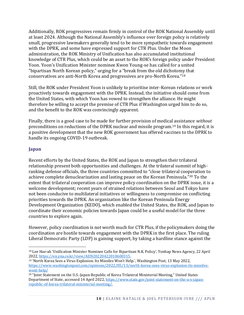Additionally, ROK progressives remain firmly in control of the ROK National Assembly until at least 2024. Although the National Assembly's influence over foreign policy is relatively small, progressive lawmakers generally tend to be more sympathetic towards engagement with the DPRK, and some have expressed support for CTR Plus. Under the Moon administration, the ROK Ministry of Unification has also accumulated institutional knowledge of CTR Plus, which could be an asset to the ROK's foreign policy under President Yoon. Yoon's Unification Minister nominee Kwon Young-se has called for a united "bipartisan North Korean policy," urging for a "break from the old dichotomy that conservatives are anti-North Korea and progressives are pro-North Korea."<sup>18</sup>

Still, the ROK under President Yoon is unlikely to prioritise inter-Korean relations or work proactively towards engagement with the DPRK. Instead, the initiative should come from the United States, with which Yoon has vowed to strengthen the alliance. He might therefore be willing to accept the premise of CTR Plus if Washington urged him to do so, and the benefit to the ROK was convincingly apparent.

Finally, there is a good case to be made for further provision of medical assistance *without* preconditions on reductions of the DPRK nuclear and missile program.<sup>19</sup> In this regard, it is a positive development that the new ROK government has offered vaccines to the DPRK to handle its ongoing COVID-19 outbreak.

#### **Japan**

Recent efforts by the United States, the ROK and Japan to strengthen their trilateral relationship present both opportunities and challenges. At the trilateral summit of highranking defense officials, the three countries committed to "close trilateral cooperation to achieve complete denuclearization and lasting peace on the Korean Peninsula."<sup>20</sup> To the extent that trilateral cooperation can improve policy coordination on the DPRK issue, it is a welcome development; recent years of strained relations between Seoul and Tokyo have not been conducive to multilateral initiatives or willingness to compromise on conflicting priorities towards the DPRK. An organization like the Korean Peninsula Energy Development Organization (KEDO), which enabled the United States, the ROK, and Japan to coordinate their economic policies towards Japan could be a useful model for the three countries to explore again.

However, policy coordination is not worth much for CTR Plus, if the policymakers doing the coordination are hostile towards engagement with the DPRK in the first place. The ruling Liberal Democratic Party (LDP) is gaining support, by taking a hardline stance against the

<sup>&</sup>lt;sup>18</sup> Lee Hae-ah 'Unification Minister Nominee Calls for Bipartisan N.K. Policy', Yonhap News Agency, 22 April 2022[, https://en.yna.co.kr/view/AEN20220422010600315.](https://en.yna.co.kr/view/AEN20220422010600315) 

<sup>19</sup> 'North Korea Sees a Virus Explosion. Its Missiles Won't Help.', Washington Post, 13 May 2022, [https://www.washingtonpost.com/opinions/2022/05/13/north-korea-sees-virus-explosion-its-missiles](https://www.washingtonpost.com/opinions/2022/05/13/north-korea-sees-virus-explosion-its-missiles-wont-help/)[wont-help/](https://www.washingtonpost.com/opinions/2022/05/13/north-korea-sees-virus-explosion-its-missiles-wont-help/)

<sup>20</sup> "Joint Statement on the U.S.-Japan-Republic of Korea Trilateral Ministerial Meeting," United States Department of State, accessed 14 April 2022[, https://www.state.gov/joint-statement-on-the-u-s-japan](https://www.state.gov/joint-statement-on-the-u-s-japan-republic-of-korea-trilateral-ministerial-meeting/)[republic-of-korea-trilateral-ministerial-meeting/.](https://www.state.gov/joint-statement-on-the-u-s-japan-republic-of-korea-trilateral-ministerial-meeting/)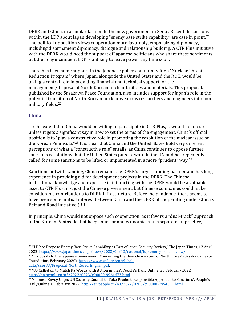DPRK and China, in a similar fashion to the new government in Seoul. Recent discussions within the LDP about Japan developing "enemy base strike capability" are case in point.<sup>21</sup> The political opposition views cooperation more favorably, emphasizing diplomacy, including disarmament diplomacy, dialogue and relationship building. A CTR Plus initiative with the DPRK would need the support of Japanese politicians who share these sentiments, but the long-incumbent LDP is unlikely to leave power any time soon.

There has been some support in the Japanese policy community for a "Nuclear Threat Reduction Program" where Japan, alongside the United States and the ROK, would be taking a central role in providing financial and technical support for the management/disposal of North Korean nuclear facilities and materials. This proposal, published by the Sasakawa Peace Foundation, also includes support for Japan's role in the potential transition of North Korean nuclear weapons researchers and engineers into nonmilitary fields.<sup>22</sup>

#### **China**

To the extent that China would be willing to participate in CTR Plus, it would not do so unless it gets a significant say in how to set the terms of the engagement. China's official position is to "play a constructive role in promoting the resolution of the nuclear issue on the Korean Peninsula."<sup>23</sup> It is clear that China and the United States hold very different perceptions of what a "constructive role" entails, as China continues to oppose further sanctions resolutions that the United States puts forward in the UN and has repeatedly called for some sanctions to be lifted or implemented in a more "prudent" way.<sup>24</sup>

Sanctions notwithstanding, China remains the DPRK's largest trading partner and has long experience in providing aid for development projects in the DPRK. The Chinese institutional knowledge and expertise in interacting with the DPRK would be a valuable asset to CTR Plus; not just the Chinese government, but Chinese companies could make considerable contributions to DPRK infrastructure. Before the pandemic, there seems to have been some mutual interest between China and the DPRK of cooperating under China's Belt and Road Initiative (BRI).

In principle, China would not oppose such cooperation, as it favors a "dual-track" approach to the Korean Peninsula that keeps nuclear and economic issues separate. In practice,

<sup>21</sup> "LDP to Propose Enemy Base Strike Capability as Part of Japan Security Review,' The Japan Times, 12 April 2022[, https://www.japantimes.co.jp/news/2022/04/12/national/ldp-enemy-base-review/.](https://www.japantimes.co.jp/news/2022/04/12/national/ldp-enemy-base-review/)

<sup>22</sup> 'Proposals to the Japanese Government Concerning the Denuclearization of North Korea' (Sasakawa Peace Foundation, February 2020)[, https://www.spf.org/en/global](https://www.spf.org/en/global-data/user33/Proposal_NorthKorea_English.pdf)[data/user33/Proposal\\_NorthKorea\\_English.pdf.](https://www.spf.org/en/global-data/user33/Proposal_NorthKorea_English.pdf)

<sup>23</sup> 'US Called on to Match Its Words with Action in Ties', People's Daily Online, 23 February 2022, [http://en.people.cn/n3/2022/0223/c90000-9961673.html.](http://en.people.cn/n3/2022/0223/c90000-9961673.html)

<sup>24</sup> 'Chinese Envoy Urges UN Security Council to Take Prudent, Responsible Approach to Sanctions', People's Daily Online, 8 February 2022[, http://en.people.cn/n3/2022/0208/c90000-9954511.html.](http://en.people.cn/n3/2022/0208/c90000-9954511.html)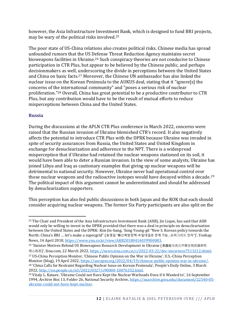however, the Asia Infrastructure Investment Bank, which is designed to fund BRI projects, may be wary of the political risks involved.<sup>25</sup>

The poor state of US-China relations also creates political risks. Chinese media has spread unfounded rumors that the US Defense Threat Reduction Agency maintains secret bioweapons facilities in Ukraine.<sup>26</sup> Such conspiracy theories are not conducive to Chinese participation in CTR Plus, but appear to be believed by the Chinese public, and perhaps decisionmakers as well, underscoring the divide in perceptions between the United States and China on basic facts.<sup>27</sup> Moreover, the Chinese UN ambassador has also linked the nuclear issue on the Korean Peninsula to the AUKUS deal, stating that it "ignore[s] the concerns of the international community" and "poses a serious risk of nuclear proliferation."<sup>28</sup> Overall, China has great potential to be a productive contributor to CTR Plus, but any contribution would have to be the result of mutual efforts to reduce misperceptions between China and the United States.

#### **Russia**

During the discussions at the APLN CTR Plus conference in March 2022, concerns were raised that the Russian invasion of Ukraine blemished CTR's record. It also negatively affects the potential to introduce CTR Plus with the DPRK because Ukraine was invaded in spite of security assurances from Russia, the United States and United Kingdom in exchange for denuclearization and adherence to the NPT. There is a widespread misperception that if Ukraine had retained the nuclear weapons stationed on its soil, it would have been able to deter a Russian invasion. In the view of some analysts, Ukraine has joined Libya and Iraq as cautionary examples that giving up nuclear weapons will be detrimental to national security. However, Ukraine never had operational control over those nuclear weapons and the radioactive isotopes would have decayed within a decade.<sup>29</sup> The political impact of this argument cannot be underestimated and should be addressed by denuclearization supporters.

This perception has also fed public discussions in both Japan and the ROK that each should consider acquiring nuclear weapons. The former Six Party participants are also split on the

<sup>26</sup> 'Sinister Motives Behind US Bioweapons Research Development in Ukraine (美国在乌克兰开展生物武器研究

用心险恶)', Sina.com, 22 March 2022, [https://news.sina.com.cn/c/2022-03-22/doc-imcwiwss7513212.shtml.](https://news.sina.com.cn/c/2022-03-22/doc-imcwiwss7513212.shtml)

 US-China Perception Monitor, 'Chinese Public Opinion on the War in Ukraine', U.S.-China Perception Monitor (blog), 19 April 2022[, https://uscnpm.org/2022/04/19/chinese-public-opinion-war-in-ukraine/.](https://uscnpm.org/2022/04/19/chinese-public-opinion-war-in-ukraine/) 'China Calls for Restraint Regarding Nuclear Issue on Korean Peninsula', People's Daily Online, 3 March [, http://en.people.cn/n3/2022/0327/c90000-10076352.html.](http://en.people.cn/n3/2022/0327/c90000-10076352.html) 

<sup>&</sup>lt;sup>25</sup> The Chair and President of the Asia Infrastructure Investment Bank (AIIB), Jin Liqun, has said that AIIB would only be willing to invest in the DPRK provided that there was a deal in principle on denuclearisation between the United States and the DPRK: Kim Jin-bang, 'Song Young-gil "New S. Korean policy towards the North: China's BRI … let's make a supergrid" (송영길 "韓신북방정책-中일대일로 연계 가능…슈퍼그리드 잇자")', Yonhap News, 14 April 2018[, https://www.yna.co.kr/view/AKR20180414039900083.](https://www.yna.co.kr/view/AKR20180414039900083) 

<sup>&</sup>lt;sup>29</sup> Vitaly L. Kataev, 'Ukraine Could not Have Kept the Nuclear Warheads Even if it Wanted to', 16 September 1994, Archive Box 13, Folder 26, National Security Archive, [https://nsarchive.gwu.edu/document/22540-05](https://nsarchive.gwu.edu/document/22540-05-ukraine-could-not-have-kept-nuclear) [ukraine-could-not-have-kept-nuclear.](https://nsarchive.gwu.edu/document/22540-05-ukraine-could-not-have-kept-nuclear)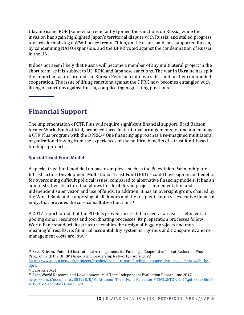Ukraine issue: ROK (somewhat reluctantly) joined the sanctions on Russia, while the invasion has again highlighted Japan's territorial dispute with Russia, and stalled progress towards formalizing a WWII peace treaty. China, on the other hand, has supported Russia, by condemning NATO expansion, and the DPRK voted against the condemnation of Russia in the UN.

It does not seem likely that Russia will become a member of any multilateral project in the short term, as it is subject to US, ROK, and Japanese sanctions. The war in Ukraine has split the important actors around the Korean Peninsula into two sides, and further confounded cooperation. The issue of lifting sanctions against the DPRK now becomes entangled with lifting of sanctions against Russia, complicating negotiating positions.

## **Financial Support**

The implementation of CTR Plus will require significant financial support. Brad Babson, former World Bank official, proposed three institutional arrangements to fund and manage a CTR Plus program with the DPRK.<sup>30</sup> One financing approach is a re-imagined multilateral organization drawing from the experiences of the political benefits of a trust fund-based funding approach.

#### **Special Trust Fund Model**

A special trust fund modeled on past examples – such as the Palestinian Partnership for Infrastructure Development Multi-Donor Trust Fund (PID) – could have significant benefits for overcoming difficult political issues, compared to alternative financing models. It has an administrative structure that allows for flexibility in project implementation and independent supervision and use of funds. In addition, it has an oversight group, chaired by the World Bank and comprising of all donors and the recipient country's executive financial body, that provides the core consultative function.<sup>31</sup>

A 2017 report found that the PID has proven successful in several areas: it is efficient at pooling donor resources and coordinating processes; its preparation processes follow World Bank standard; its structure enables the design of bigger projects and more meaningful results; its financial accountability system is rigorous and transparent; and its management costs are low.<sup>32</sup>

<sup>30</sup> Brad Babson, 'Potential Institutional Arrangements for Funding a Cooperative Threat Reduction Plus Program with the DPRK' (Asia-Pacific Leadership Network, 7 April 2022),

[https://www.apln.network/projects/ctrplus/special-report-funding-a-cooperative-engagement-with-the](https://www.apln.network/projects/ctrplus/special-report-funding-a-cooperative-engagement-with-the-dprk)[dprk.](https://www.apln.network/projects/ctrplus/special-report-funding-a-cooperative-engagement-with-the-dprk)

<sup>31</sup> Babson, 20-21.

<sup>32</sup> Arab World Research and Development, Mid-Term Independent Evaluation Report, June 2017, [https://um.fi/documents/384998/0/Multi-donor\\_Trust\\_Fund\\_Palestine\\_MTE%2BTOR\\_2017.pdf/5ee386b5-](https://um.fi/documents/384998/0/Multi-donor_Trust_Fund_Palestine_MTE%2BTOR_2017.pdf/5ee386b5-41f5-d1e7-acdb-0da174b35323) [41f5-d1e7-acdb-0da174b35323.](https://um.fi/documents/384998/0/Multi-donor_Trust_Fund_Palestine_MTE%2BTOR_2017.pdf/5ee386b5-41f5-d1e7-acdb-0da174b35323)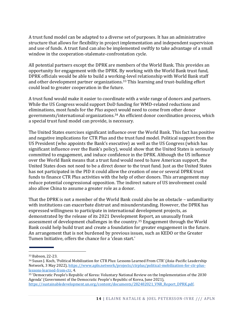A trust fund model can be adapted to a diverse set of purposes. It has an administrative structure that allows for flexibility in project implementation and independent supervision and use of funds. A trust fund can also be implemented swiftly to take advantage of a small window in the cooperation-stalemate-confrontation cycle.

All potential partners except the DPRK are members of the World Bank. This provides an opportunity for engagement with the DPRK. By working with the World Bank trust fund, DPRK officials would be able to build a working-level relationship with World Bank staff and other development partner organizations.<sup>33</sup> This learning and trust-building effort could lead to greater cooperation in the future.

A trust fund would make it easier to coordinate with a wide range of donors and partners. While the US Congress would support DoD funding for WMD-related reductions and eliminations, most funds for the *Plus* aspect would need to come from other donor governments/international organizations.<sup>34</sup> An efficient donor coordination process, which a special trust fund model can provide, is necessary.

The United States exercises significant influence over the World Bank. This fact has positive and negative implications for CTR Plus and the trust fund model. Political support from the US President (who appoints the Bank's executive) as well as the US Congress (which has significant influence over the Bank's policy), would show that the United States is seriously committed to engagement, and induce confidence in the DPRK. Although the US influence over the World Bank means that a trust fund would need to have American support, the United States does not need to be a direct donor to the trust fund. Just as the United States has not participated in the PID it could allow the creation of one or several DPRK trust funds to finance CTR Plus activities with the help of other donors. This arrangement may reduce potential congressional opposition. The indirect nature of US involvement could also allow China to assume a greater role as a donor.

That the DPRK is not a member of the World Bank could also be an obstacle – unfamiliarity with institutions can exacerbate distrust and misunderstanding. However, the DPRK has expressed willingness to participate in international development projects, as demonstrated by the release of its 2021 Development Report, an unusually frank assessment of development challenges in the country.<sup>35</sup> Engagement through the World Bank could help build trust and create a foundation for greater engagement in the future. An arrangement that is not burdened by previous issues, such as KEDO or the Greater Tumen Initiative, offers the chance for a 'clean start.'

<sup>33</sup> Babson, 22-23.

<sup>34</sup> Susan J. Koch, 'Political Mobilization for CTR Plus: Lessons Learned From CTR' (Asia-Pacific Leadership Network, 3 May 2022), [https://www.apln.network/projects/ctrplus/political-mobilization-for-ctr-plus](https://www.apln.network/projects/ctrplus/political-mobilization-for-ctr-plus-lessons-learned-from-ctr)[lessons-learned-from-ctr,](https://www.apln.network/projects/ctrplus/political-mobilization-for-ctr-plus-lessons-learned-from-ctr) 4.

<sup>35</sup> 'Democratic People's Republic of Korea: Voluntary National Review on the Implementation of the 2030 Agenda' (Government of the Democratic People's Republic of Korea, June 2021), [https://sustainabledevelopment.un.org/content/documents/282482021\\_VNR\\_Report\\_DPRK.pdf.](https://sustainabledevelopment.un.org/content/documents/282482021_VNR_Report_DPRK.pdf)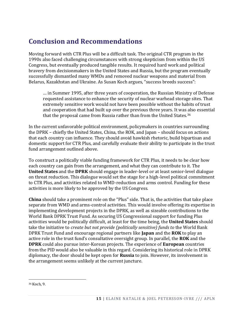## **Conclusion and Recommendations**

Moving forward with CTR Plus will be a difficult task. The original CTR program in the 1990s also faced challenging circumstances with strong skepticism from within the US Congress, but eventually produced tangible results. It required hard work and political bravery from decisionmakers in the United States and Russia, but the program eventually successfully dismantled many WMDs and removed nuclear weapons and material from Belarus, Kazakhstan and Ukraine. As Susan Koch argues, "success breeds success":

… in Summer 1995, after three years of cooperation, the Russian Ministry of Defense requested assistance to enhance the security of nuclear warhead storage sites. That extremely sensitive work would not have been possible without the habits of trust and cooperation that had built up over the previous three years. It was also essential that the proposal came from Russia rather than from the United States.<sup>36</sup>

In the current unfavorable political environment, policymakers in countries surrounding the DPRK – chiefly the United States, China, the ROK, and Japan – should focus on actions that each country can influence. They should avoid hawkish rhetoric, build bipartisan and domestic support for CTR Plus, and carefully evaluate their ability to participate in the trust fund arrangement outlined above.

To construct a politically viable funding framework for CTR Plus, it needs to be clear how each country can gain from the arrangement, and what they can contribute to it. The **United States** and the **DPRK** should engage in leader-level or at least senior-level dialogue on threat reduction. This dialogue would set the stage for a high-level political commitment to CTR Plus, and activities related to WMD-reduction and arms control. Funding for these activities is more likely to be approved by the US Congress.

**China** should take a prominent role on the "Plus" side. That is, the activities that take place separate from WMD and arms-control activities. This would involve offering its expertise in implementing development projects in the DPRK, as well as sizeable contributions to the World Bank DPRK Trust Fund. As securing US Congressional support for funding Plus activities would be politically difficult, at least for the time being, the **United States** should take the initiative to *create but not provide (politically sensitive) funds to* the World Bank DPRK Trust Fund and encourage regional partners like **Japan** and the **ROK** to play an active role in the trust fund's consultative oversight group. In parallel, the **ROK** and the **DPRK** could also pursue inter-Korean projects. The experience of **European** countries from the PID would also be valuable in this regard. Considering its historical role in DPRK diplomacy, the door should be kept open for **Russia** to join. However, its involvement in the arrangement seems unlikely at the current juncture.

<sup>36</sup> Koch, 9.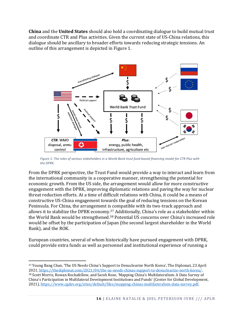**China** and the **United States** should also hold a coordinating dialogue to build mutual trust and coordinate CTR and Plus activities. Given the current state of US-China relations, this dialogue should be ancillary to broader efforts towards reducing strategic tensions. An outline of this arrangement is depicted in Figure 1.



*Figure 1: The roles of various stakeholders in a World Bank trust fund-based financing model for CTR Plus with the DPRK.*

From the DPRK perspective, the Trust Fund would provide a way to interact and learn from the international community in a cooperative manner, strengthening the potential for economic growth. From the US side, the arrangement would allow for more constructive engagement with the DPRK, improving diplomatic relations and paving the way for nuclear threat reduction efforts. At a time of difficult relations with China, it could be a means of constructive US-China engagement towards the goal of reducing tensions on the Korean Peninsula. For China, the arrangement is compatible with its two-track approach and allows it to stabilize the DPRK economy.<sup>37</sup> Additionally, China's role as a stakeholder within the World Bank would be strengthened.<sup>38</sup> Potential US concerns over China's increased role would be offset by the participation of Japan (the second largest shareholder in the World Bank), and the ROK.

European countries, several of whom historically have pursued engagement with DPRK, could provide extra funds as well as personnel and institutional experience of running a

<sup>37</sup> Young Bang Chan, 'The US Needs China's Support to Denuclearize North Korea', The Diplomat, 23 April 2021[, https://thediplomat.com/2021/04/the-us-needs-chinas-support-to-denuclearize-north-korea/.](https://thediplomat.com/2021/04/the-us-needs-chinas-support-to-denuclearize-north-korea/)  <sup>38</sup> Scott Morris, Rowan Rockafellow, and Sarah Rose, 'Mapping China's Multilateralism: A Data Survey of China's Participation in Multilateral Development Institutions and Funds' (Center for Global Development, 2021), [https://www.cgdev.org/sites/default/files/mapping-chinas-multilateralism-data-survey.pdf.](https://www.cgdev.org/sites/default/files/mapping-chinas-multilateralism-data-survey.pdf)